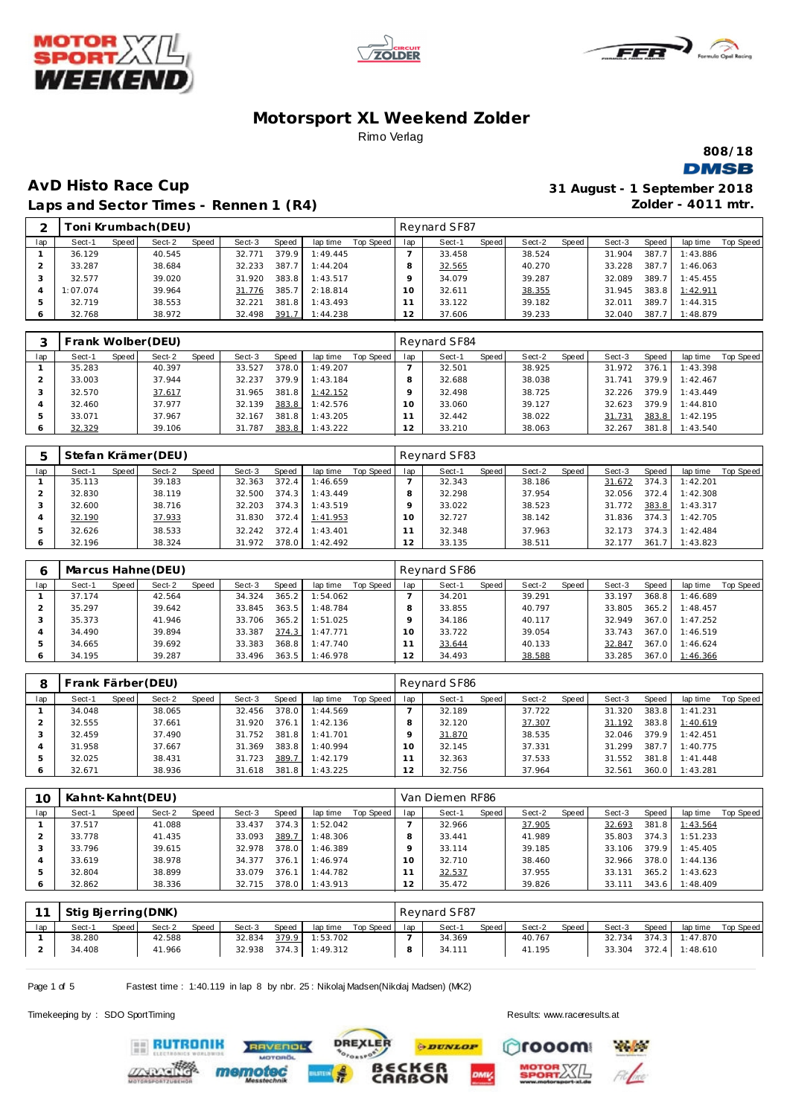





**808/18**

**DMSB** 

# **AvD Histo Race Cup Laps and Sector Times - Rennen 1 (R4)**

| 31 August - 1 September 2018 |
|------------------------------|
| Zolder - $4011$ mtr.         |

| ⌒   |          |       | "oni Krumbach(DEU) |       |        |       |          |           |              | Reynard SF87 |       |        |       |        |       |          |                  |
|-----|----------|-------|--------------------|-------|--------|-------|----------|-----------|--------------|--------------|-------|--------|-------|--------|-------|----------|------------------|
| lap | Sect-1   | Speed | Sect-2             | Speed | Sect-3 | Speed | lap time | Top Speed | lap          | Sect-1       | Speed | Sect-2 | Speed | Sect-3 | Speed | lap time | <b>Top Speed</b> |
|     | 36.129   |       | 40.545             |       | 32.771 | 379.9 | 1:49.445 |           |              | 33.458       |       | 38.524 |       | 31.904 | 387.7 | 1:43.886 |                  |
|     | 33.287   |       | 38.684             |       | 32.233 | 387.7 | 1:44.204 |           | $\circ$<br>õ | 32.565       |       | 40.270 |       | 33.228 | 387.7 | 1:46.063 |                  |
|     | 32.577   |       | 39.020             |       | 31.920 | 383.8 | 1:43.517 |           |              | 34.079       |       | 39.287 |       | 32.089 | 389.7 | 1:45.455 |                  |
|     | 1:07.074 |       | 39.964             |       | 31.776 | 385.7 | 2:18.814 |           | 10           | 32.611       |       | 38.355 |       | 31.945 | 383.8 | 1:42.911 |                  |
|     | 32.719   |       | 38.553             |       | 32.221 | 381.8 | 1:43.493 |           |              | 33.122       |       | 39.182 |       | 32.011 | 389.7 | 1:44.315 |                  |
|     | 32.768   |       | 38.972             |       | 32.498 | 391.7 | 1:44.238 |           | 12           | 37.606       |       | 39.233 |       | 32.040 | 387.7 | 1:48.879 |                  |

|     |        |       | Frank Wolber (DEU) |       |        |       |          |           |     | Reynard SF84 |       |        |       |        |       |          |           |
|-----|--------|-------|--------------------|-------|--------|-------|----------|-----------|-----|--------------|-------|--------|-------|--------|-------|----------|-----------|
| lap | Sect-1 | Speed | Sect-2             | Speed | Sect-3 | Speed | lap time | Top Speed | lap | Sect-1       | Speed | Sect-2 | Speed | Sect-3 | Speed | lap time | Top Speed |
|     | 35.283 |       | 40.397             |       | 33.527 | 378.0 | 1:49.207 |           |     | 32.501       |       | 38.925 |       | 31.972 | 376.1 | 1:43.398 |           |
|     | 33.003 |       | 37.944             |       | 32.237 | 379.9 | 1:43.184 |           |     | 32.688       |       | 38.038 |       | 31.741 | 379.9 | 1:42.467 |           |
|     | 32.570 |       | 37.617             |       | 31.965 | 381.8 | 1:42.152 |           |     | 32.498       |       | 38.725 |       | 32.226 | 379.9 | 1:43.449 |           |
|     | 32.460 |       | 37.977             |       | 32.139 | 383.8 | 1:42.576 |           | 10  | 33.060       |       | 39.127 |       | 32.623 | 379.9 | 1:44.810 |           |
|     | 33.071 |       | 37.967             |       | 32.167 | 381.8 | 1:43.205 |           |     | 32.442       |       | 38.022 |       | 31.731 | 383.8 | 1:42.195 |           |
|     | 32.329 |       | 39.106             |       | 31.787 | 383.8 | 1:43.222 |           | 12  | 33.210       |       | 38.063 |       | 32.267 | 381.8 | 1:43.540 |           |

|     |        |       | Stefan Krämer (DEU) |       |        |       |          |           |          | Reynard SF83 |       |        |       |        |       |          |           |
|-----|--------|-------|---------------------|-------|--------|-------|----------|-----------|----------|--------------|-------|--------|-------|--------|-------|----------|-----------|
| lap | Sect-1 | Speed | Sect-2              | Speed | Sect-3 | Speed | lap time | Top Speed | lap      | Sect-1       | Speed | Sect-2 | Speed | Sect-3 | Speed | lap time | Top Speed |
|     | 35.113 |       | 39.183              |       | 32.363 | 372.4 | 1:46.659 |           |          | 32.343       |       | 38.186 |       | 31.672 | 374.3 | 1:42.201 |           |
|     | 32.830 |       | 38.119              |       | 32.500 | 374.3 | 1:43.449 |           |          | 32.298       |       | 37.954 |       | 32.056 | 372.4 | 1:42.308 |           |
|     | 32.600 |       | 38.716              |       | 32.203 | 374.3 | 1:43.519 |           |          | 33.022       |       | 38.523 |       | 31.772 | 383.8 | 1:43.317 |           |
|     | 32.190 |       | 37.933              |       | 31.830 | 372.4 | 1:41.953 |           | $\Omega$ | 32.727       |       | 38.142 |       | 31.836 | 374.3 | 1:42.705 |           |
|     | 32.626 |       | 38.533              |       | 32.242 | 372.4 | 1:43.401 |           |          | 32.348       |       | 37.963 |       | 32.173 | 374.3 | 1:42.484 |           |
|     | 32.196 |       | 38.324              |       | 31.972 | 378.0 | 1:42.492 |           |          | 33.135       |       | 38.511 |       | 32.177 | 361.7 | 1:43.823 |           |

|     |        |       | Marcus Hahne (DEU) |       |        |       |          |           |          | Reynard SF86 |       |        |       |        |       |          |           |
|-----|--------|-------|--------------------|-------|--------|-------|----------|-----------|----------|--------------|-------|--------|-------|--------|-------|----------|-----------|
| lap | Sect-1 | Speed | Sect-2             | Speed | Sect-3 | Speed | lap time | Top Speed | lap      | Sect-1       | Speed | Sect-2 | Speed | Sect-3 | Speed | lap time | Top Speed |
|     | 37.174 |       | 42.564             |       | 34.324 | 365.2 | 1:54.062 |           |          | 34.201       |       | 39.291 |       | 33.197 | 368.8 | 1:46.689 |           |
|     | 35.297 |       | 39.642             |       | 33.845 | 363.5 | 1:48.784 |           |          | 33.855       |       | 40.797 |       | 33.805 | 365.2 | 1:48.457 |           |
|     | 35.373 |       | 41.946             |       | 33.706 | 365.2 | 1:51.025 |           |          | 34.186       |       | 40.117 |       | 32.949 | 367.0 | 1:47.252 |           |
|     | 34.490 |       | 39.894             |       | 33.387 | 374.3 | 1:47.771 |           | $\Omega$ | 33.722       |       | 39.054 |       | 33.743 | 367.0 | 1:46.519 |           |
|     | 34.665 |       | 39.692             |       | 33.383 | 368.8 | 1:47.740 |           |          | 33.644       |       | 40.133 |       | 32.847 | 367.0 | 1:46.624 |           |
| O   | 34.195 |       | 39.287             |       | 33.496 | 363.5 | 1:46.978 |           | 12       | 34.493       |       | 38.588 |       | 33.285 | 367.0 | 1:46.366 |           |

|     | Frank Färber (DEU) |       |        |              |        |       |          |           |           | Reynard SF86 |       |        |       |        |       |          |                  |
|-----|--------------------|-------|--------|--------------|--------|-------|----------|-----------|-----------|--------------|-------|--------|-------|--------|-------|----------|------------------|
| lap | Sect-1             | Speed | Sect-2 | <b>Speed</b> | Sect-3 | Speed | lap time | Top Speed | lap       | Sect-1       | Speed | Sect-2 | Speed | Sect-3 | Speed | lap time | <b>Top Speed</b> |
|     | 34.048             |       | 38.065 |              | 32.456 | 378.0 | 1:44.569 |           |           | 32.189       |       | 37.722 |       | 31.320 | 383.8 | 1:41.231 |                  |
|     | 32.555             |       | 37.661 |              | 31.920 | 376.1 | 1:42.136 |           |           | 32.120       |       | 37.307 |       | 31.192 | 383.8 | 1:40.619 |                  |
|     | 32.459             |       | 37.490 |              | 31.752 | 381.8 | 1:41.701 |           |           | 31.870       |       | 38.535 |       | 32.046 | 379.9 | 1:42.451 |                  |
|     | 31.958             |       | 37.667 |              | 31.369 | 383.8 | 1:40.994 |           | $10^{-1}$ | 32.145       |       | 37.331 |       | 31.299 | 387.7 | 1:40.775 |                  |
|     | 32.025             |       | 38.431 |              | 31.723 | 389.7 | 1:42.179 |           |           | 32.363       |       | 37.533 |       | 31.552 | 381.8 | 1:41.448 |                  |
|     | 32.671             |       | 38.936 |              | 31.618 | 381.8 | 1:43.225 |           |           | 32.756       |       | 37.964 |       | 32.561 | 360.0 | 1:43.281 |                  |

| 10  |        |       | Kahnt-Kahnt (DEU) |       |        |       |          |           |     | Van Diemen RF86 |       |        |       |        |       |                |           |
|-----|--------|-------|-------------------|-------|--------|-------|----------|-----------|-----|-----------------|-------|--------|-------|--------|-------|----------------|-----------|
| lap | Sect-1 | Speed | Sect-2            | Speed | Sect-3 | Speed | lap time | Top Speed | lap | Sect-1          | Speed | Sect-2 | Speed | Sect-3 | Speed | lap time       | Top Speed |
|     | 37.517 |       | 41.088            |       | 33.437 | 374.3 | 1:52.042 |           |     | 32.966          |       | 37.905 |       | 32.693 | 381.8 | 1:43.564       |           |
|     | 33.778 |       | 41.435            |       | 33.093 | 389.7 | 1:48.306 |           |     | 33.441          |       | 41.989 |       | 35.803 | 374.3 | 1:51.233       |           |
|     | 33.796 |       | 39.615            |       | 32.978 | 378.0 | 1:46.389 |           |     | 33.114          |       | 39.185 |       | 33.106 | 379.9 | 1:45.405       |           |
|     | 33.619 |       | 38.978            |       | 34.377 | 376.1 | 1:46.974 |           | 10  | 32.710          |       | 38.460 |       | 32.966 | 378.0 | 1:44.136       |           |
|     | 32.804 |       | 38.899            |       | 33.079 | 376.1 | 1:44.782 |           |     | 32.537          |       | 37.955 |       | 33.131 | 365.2 | 1:43.623       |           |
|     | 32.862 |       | 38.336            |       | 32.715 | 378.0 | 1:43.913 |           | 2   | 35.472          |       | 39.826 |       | 33.111 |       | 343.6 1:48.409 |           |

|     | Stig Bjerring (DNK) |       |        |              |        |       |          |           |     | Revnard SF87 |       |        |       |        |       |          |           |
|-----|---------------------|-------|--------|--------------|--------|-------|----------|-----------|-----|--------------|-------|--------|-------|--------|-------|----------|-----------|
| lap | Sect-1              | Speed | Sect-2 | <b>Speed</b> | Sect-3 | Speed | lap time | Top Speed | lap | Sect-1       | Speed | Sect-2 | Speed | Sect-3 | Speed | lap time | Top Speed |
|     | 38.280              |       | 42.588 |              | 32.834 | 379.9 | 1:53.702 |           |     | 34.369       |       | 40.767 |       | 32.734 | 374.3 | 1:47.870 |           |
|     | 34.408              |       | 41.966 |              | 32.938 | 374.3 | 1:49.312 |           |     | 34.111       |       | 41.195 |       | 33.304 | 372.4 | 1:48.610 |           |

Page 1 of 5 Fastest time : 1:40.119 in lap 8 by nbr. 25 : Nikolaj Madsen(Nikolaj Madsen) (MK2)

Timekeeping by : SDO SportTiming Results:<www.raceresults.at>

**ERUTRONIK** 

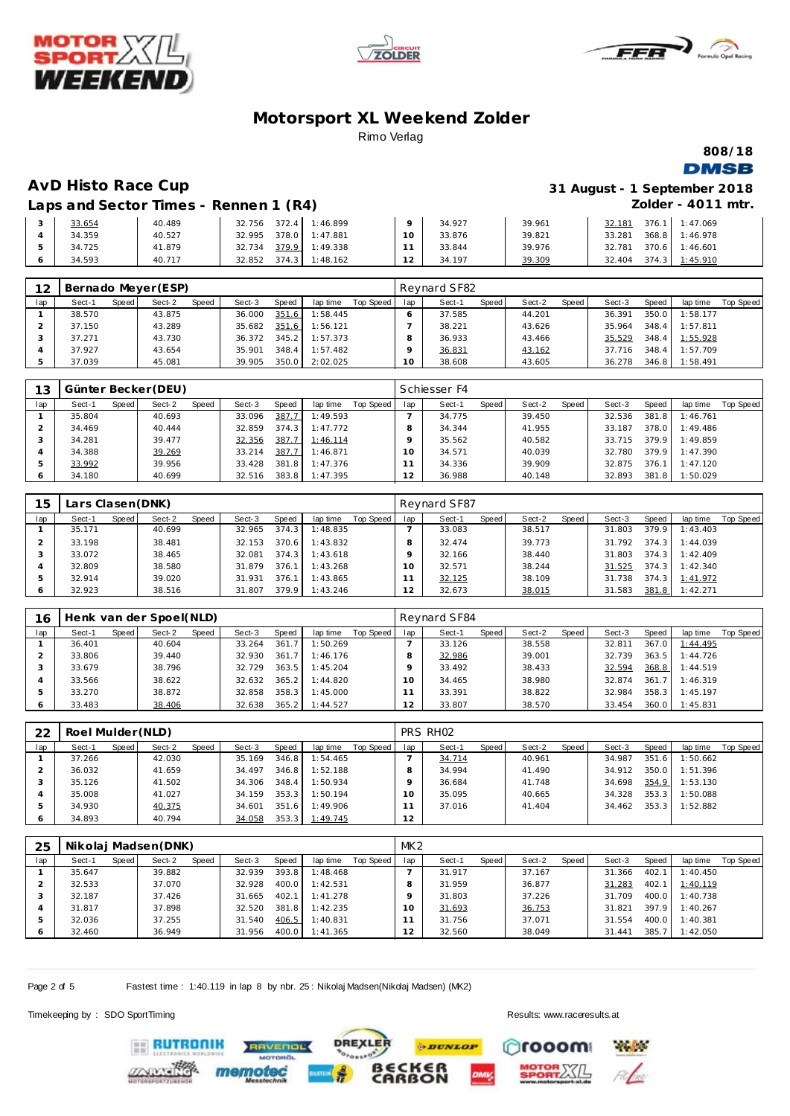





**808/18 DMSB** 

#### **AvD Histo Race Cup 31 August - 1 September 2018 Zolder - 4011 mtr.**

**Laps and Sector Times - Rennen 1 (R4)**

| 33.654 | 40.489 | $372.4$ 1:46.899<br>32.756      |    | 34.927 | 39.961 | 32.181 | 376.1 | 1:47.069 |
|--------|--------|---------------------------------|----|--------|--------|--------|-------|----------|
| 34.359 | 40.527 | 378.0 1:47.881<br>32.995        | 10 | 33.876 | 39.821 | 33.281 | 368.8 | 1:46.978 |
| 34.725 | 41.879 | 379.9 1:49.338<br>32.734        |    | 33.844 | 39.976 | 32.781 | 370.6 | 1:46.601 |
| 34.593 | 40.717 | $374.3$  <br>1:48.162<br>32.852 |    | 34.197 | 39.309 | 32.404 | 374.3 | 1:45.910 |

| 12  |        |       | Bernado Meyer (ESP) |              |        |       |          |           |     | Reynard SF82 |       |        |       |        |       |          |           |
|-----|--------|-------|---------------------|--------------|--------|-------|----------|-----------|-----|--------------|-------|--------|-------|--------|-------|----------|-----------|
| lap | Sect-1 | Speed | Sect-2              | <b>Speed</b> | Sect-3 | Speed | lap time | Top Speed | lap | Sect-1       | Speed | Sect-2 | Speed | Sect-3 | Speed | lap time | Top Speed |
|     | 38.570 |       | 43.875              |              | 36.000 | 351.6 | 1:58.445 |           |     | 37.585       |       | 44.201 |       | 36.391 | 350.0 | 1:58.177 |           |
|     | 37.150 |       | 43.289              |              | 35.682 | 351.6 | 1:56.121 |           |     | 38.221       |       | 43.626 |       | 35.964 | 348.4 | 1:57.811 |           |
|     | 37.271 |       | 43.730              |              | 36.372 | 345.2 | 1:57.373 |           |     | 36.933       |       | 43.466 |       | 35.529 | 348.4 | 1:55.928 |           |
|     | 37.927 |       | 43.654              |              | 35.901 | 348.4 | 1:57.482 |           |     | 36.831       |       | 43.162 |       | 37.716 | 348.4 | 1:57.709 |           |
|     | 37.039 |       | 45.081              |              | 39.905 | 350.0 | 2:02.025 |           | 10  | 38.608       |       | 43.605 |       | 36.278 | 346.8 | 1:58.491 |           |

| 13  |        |       | Günter Becker (DEU) |       |        |       |          |           |     | Schiesser F4 |       |        |       |        |       |          |           |
|-----|--------|-------|---------------------|-------|--------|-------|----------|-----------|-----|--------------|-------|--------|-------|--------|-------|----------|-----------|
| lap | Sect-1 | Speed | Sect-2              | Speed | Sect-3 | Speed | lap time | Top Speed | lap | Sect-1       | Speed | Sect-2 | Speed | Sect-3 | Speed | lap time | Top Speed |
|     | 35.804 |       | 40.693              |       | 33.096 | 387.7 | 1:49.593 |           |     | 34.775       |       | 39.450 |       | 32.536 | 381.8 | 1:46.761 |           |
|     | 34.469 |       | 40.444              |       | 32.859 | 374.3 | 1:47.772 |           |     | 34.344       |       | 41.955 |       | 33.187 | 378.0 | 1:49.486 |           |
|     | 34.281 |       | 39.477              |       | 32.356 | 387.7 | 1:46.114 |           |     | 35.562       |       | 40.582 |       | 33.715 | 379.9 | 1:49.859 |           |
|     | 34.388 |       | 39.269              |       | 33.214 | 387.7 | 1:46.871 |           |     | 34.571       |       | 40.039 |       | 32.780 | 379.9 | 1:47.390 |           |
|     | 33.992 |       | 39.956              |       | 33.428 | 381.8 | 1:47.376 |           |     | 34.336       |       | 39.909 |       | 32.875 | 376.7 | 1:47.120 |           |
| O   | 34.180 |       | 40.699              |       | 32.516 | 383.8 | 1:47.395 |           | 12  | 36.988       |       | 40.148 |       | 32.893 | 381.8 | 1:50.029 |           |

| 15  | Lars Clasen (DNK) |       |        |       |        |       |          |           |                | Reynard SF87 |       |        |       |        |       |          |           |
|-----|-------------------|-------|--------|-------|--------|-------|----------|-----------|----------------|--------------|-------|--------|-------|--------|-------|----------|-----------|
| lap | Sect-1            | Speed | Sect-2 | Speed | Sect-3 | Speed | lap time | Top Speed | lap            | Sect-1       | Speed | Sect-2 | Speed | Sect-3 | Speed | lap time | Top Speed |
|     | 35.171            |       | 40.699 |       | 32.965 | 374.3 | 1:48.835 |           |                | 33.083       |       | 38.517 |       | 31.803 | 379.9 | 1:43.403 |           |
|     | 33.198            |       | 38.481 |       | 32.153 | 370.6 | 1:43.832 |           |                | 32.474       |       | 39.773 |       | 31.792 | 374.3 | 1:44.039 |           |
|     | 33.072            |       | 38.465 |       | 32.081 | 374.3 | 1:43.618 |           |                | 32.166       |       | 38.440 |       | 31.803 | 374.3 | 1:42.409 |           |
|     | 32.809            |       | 38.580 |       | 31.879 | 376.1 | 1:43.268 |           | 10             | 32.571       |       | 38.244 |       | 31.525 | 374.3 | 1:42.340 |           |
|     | 32.914            |       | 39.020 |       | 31.931 | 376.1 | 1:43.865 |           |                | 32.125       |       | 38.109 |       | 31.738 | 374.3 | 1:41.972 |           |
|     | 32.923            |       | 38.516 |       | 31.807 | 379.9 | 1:43.246 |           | $\overline{2}$ | 32.673       |       | 38.015 |       | 31.583 | 381.8 | 1:42.271 |           |

| 16      |        |       | Henk van der Spoel(NLD) |       |        |       |          |           |            | Reynard SF84 |       |        |       |        |       |          |           |
|---------|--------|-------|-------------------------|-------|--------|-------|----------|-----------|------------|--------------|-------|--------|-------|--------|-------|----------|-----------|
| lap     | Sect-1 | Speed | Sect-2                  | Speed | Sect-3 | Speed | lap time | Top Speed | lap        | Sect-1       | Speed | Sect-2 | Speed | Sect-3 | Speed | lap time | Top Speed |
|         | 36.401 |       | 40.604                  |       | 33.264 | 361   | 1:50.269 |           |            | 33.126       |       | 38.558 |       | 32.811 | 367.0 | 1:44.495 |           |
|         | 33.806 |       | 39.440                  |       | 32.930 | 361.7 | 1:46.176 |           |            | 32.986       |       | 39.001 |       | 32.739 | 363.5 | 1:44.726 |           |
|         | 33.679 |       | 38.796                  |       | 32.729 | 363.5 | 1:45.204 |           |            | 33.492       |       | 38.433 |       | 32.594 | 368.8 | 1:44.519 |           |
|         | 33.566 |       | 38.622                  |       | 32.632 | 365.2 | 1:44.820 |           |            | 34.465       |       | 38.980 |       | 32.874 | 361.7 | 1:46.319 |           |
| 5       | 33.270 |       | 38.872                  |       | 32.858 | 358.3 | 1:45.000 |           |            | 33.391       |       | 38.822 |       | 32.984 | 358.3 | 1:45.197 |           |
| $\circ$ | 33.483 |       | 38.406                  |       | 32.638 | 365.2 | 1:44.527 |           | າ າ<br>ے ا | 33.807       |       | 38.570 |       | 33.454 | 360.0 | 1:45.831 |           |

| 22  | Roel Mulder (NLD) |       |        |       |        |       |          |           |                 | PRS RH <sub>02</sub> |       |        |       |        |       |          |           |
|-----|-------------------|-------|--------|-------|--------|-------|----------|-----------|-----------------|----------------------|-------|--------|-------|--------|-------|----------|-----------|
| lap | Sect-1            | Speed | Sect-2 | Speed | Sect-3 | Speed | lap time | Top Speed | lap             | Sect-1               | Speed | Sect-2 | Speed | Sect-3 | Speed | lap time | Top Speed |
|     | 37.266            |       | 42.030 |       | 35.169 | 346.8 | 1:54.465 |           |                 | 34.714               |       | 40.961 |       | 34.987 | 351.6 | 1:50.662 |           |
|     | 36.032            |       | 41.659 |       | 34.497 | 346.8 | 1:52.188 |           |                 | 34.994               |       | 41.490 |       | 34.912 | 350.0 | 1:51.396 |           |
|     | 35.126            |       | 41.502 |       | 34.306 | 348.4 | 1:50.934 |           |                 | 36.684               |       | 41.748 |       | 34.698 | 354.9 | 1:53.130 |           |
|     | 35,008            |       | 41.027 |       | 34.159 | 353.3 | 1:50.194 |           | 10 <sup>°</sup> | 35.095               |       | 40.665 |       | 34.328 | 353.3 | 1:50.088 |           |
|     | 34.930            |       | 40.375 |       | 34.601 | 351.6 | 1:49.906 |           |                 | 37.016               |       | 41.404 |       | 34.462 | 353.3 | 1:52.882 |           |
|     | 34.893            |       | 40.794 |       | 34.058 | 353.3 | 1:49.745 |           | 12              |                      |       |        |       |        |       |          |           |

| 25  |        |         | Nikolaj Madsen (DNK) |       |        |       |          |           | MK2 |        |       |        |       |        |       |          |           |
|-----|--------|---------|----------------------|-------|--------|-------|----------|-----------|-----|--------|-------|--------|-------|--------|-------|----------|-----------|
| lap | Sect-1 | Speed I | Sect-2               | Speed | Sect-3 | Speed | lap time | Top Speed | lap | Sect-1 | Speed | Sect-2 | Speed | Sect-3 | Speed | lap time | Top Speed |
|     | 35.647 |         | 39.882               |       | 32.939 | 393.8 | 1:48.468 |           |     | 31.917 |       | 37.167 |       | 31.366 | 402.1 | 1:40.450 |           |
|     | 32.533 |         | 37.070               |       | 32.928 | 400.0 | 1:42.531 |           |     | 31.959 |       | 36.877 |       | 31.283 | 402.1 | 1:40.119 |           |
|     | 32.187 |         | 37.426               |       | 31.665 | 402.1 | 1:41.278 |           |     | 31.803 |       | 37.226 |       | 31.709 | 400.0 | 1:40.738 |           |
|     | 31.817 |         | 37.898               |       | 32.520 | 381.8 | 1:42.235 |           | Ω   | 31.693 |       | 36.753 |       | 31.821 | 397.9 | 1:40.267 |           |
|     | 32.036 |         | 37.255               |       | 31.540 | 406.5 | 1:40.831 |           |     | 31.756 |       | 37.071 |       | 31.554 | 400.0 | 1:40.381 |           |
|     | 32.460 |         | 36.949               |       | 31.956 | 400.0 | 1:41.365 |           | l Z | 32.560 |       | 38.049 |       | 31.441 | 385.7 | 1:42.050 |           |

**PDUNLOP** 

ΟÑ

**DREXLER** 

Page 2 of 5 Fastest time : 1:40.119 in lap 8 by nbr. 25 : Nikolaj Madsen(Nikolaj Madsen) (MK2)

**TVENDL** 

Timekeeping by : SDO SportTiming Results:<www.raceresults.at>

**ERUTRONIK** 

rooom

**Physician** 

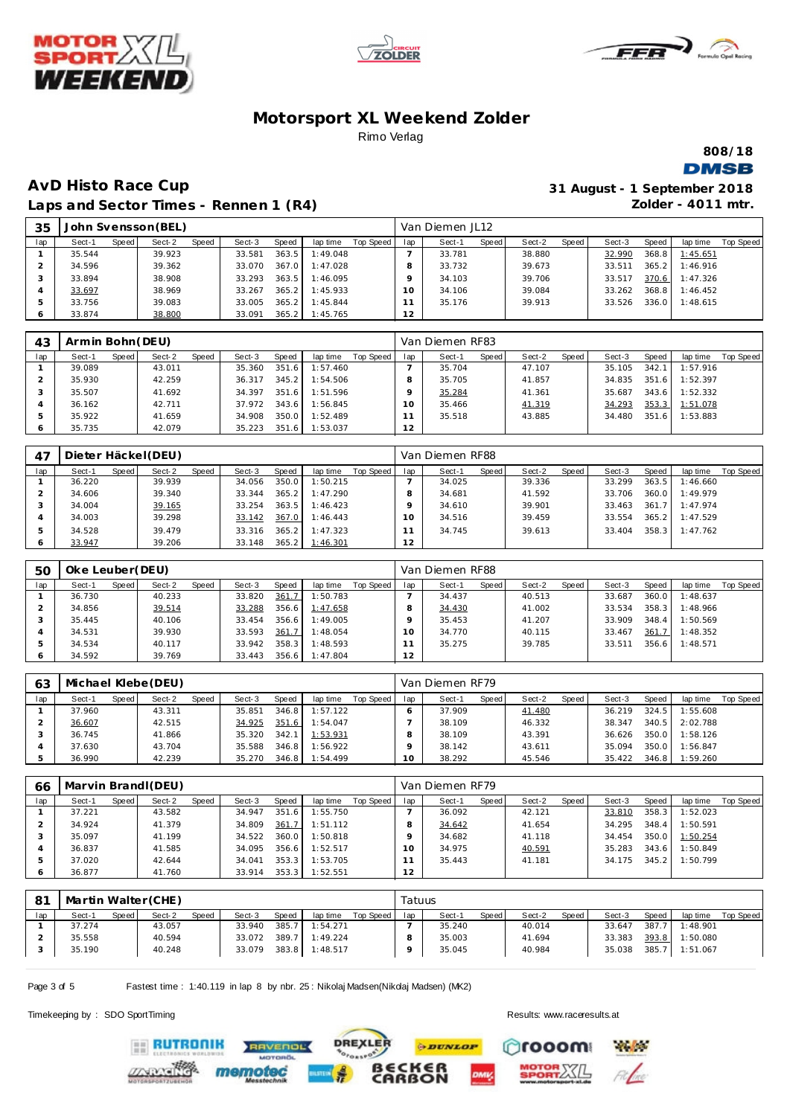





**808/18 DMSB** 

## **AvD Histo Race Cup 31 August - 1 September 2018 Laps and Sector Times - Rennen 1 (R4)**

**Zolder - 4011 mtr.**

| 35  |        |       | John Svensson (BEL) |       |        |       |          |           |     | Van Diemen JL12 |       |        |       |        |       |          |           |
|-----|--------|-------|---------------------|-------|--------|-------|----------|-----------|-----|-----------------|-------|--------|-------|--------|-------|----------|-----------|
| lap | Sect-1 | Speed | Sect-2              | Speed | Sect-3 | Speed | lap time | Top Speed | lap | Sect-1          | Speed | Sect-2 | Speed | Sect-3 | Speed | lap time | Top Speed |
|     | 35.544 |       | 39.923              |       | 33.581 | 363.5 | 1:49.048 |           |     | 33.781          |       | 38.880 |       | 32.990 | 368.8 | 1:45.651 |           |
| ▵   | 34.596 |       | 39.362              |       | 33.070 | 367.0 | 1:47.028 |           |     | 33.732          |       | 39.673 |       | 33.511 | 365.2 | 1:46.916 |           |
|     | 33.894 |       | 38.908              |       | 33.293 | 363.5 | 1:46.095 |           |     | 34.103          |       | 39.706 |       | 33.517 | 370.6 | 1:47.326 |           |
| 4   | 33.697 |       | 38.969              |       | 33.267 | 365.2 | 1:45.933 |           | 10  | 34.106          |       | 39.084 |       | 33.262 | 368.8 | 1:46.452 |           |
| ь   | 33.756 |       | 39.083              |       | 33.005 | 365.2 | 1:45.844 |           |     | 35.176          |       | 39.913 |       | 33.526 | 336.0 | 1:48.615 |           |
|     | 33.874 |       | 38.800              |       | 33.091 | 365.2 | 1:45.765 |           | 12  |                 |       |        |       |        |       |          |           |

| 43  | Armin Bohn (DEU) |       |        |       |        |       |          |           |     | Van Diemen RF83 |       |        |       |        |       |          |           |
|-----|------------------|-------|--------|-------|--------|-------|----------|-----------|-----|-----------------|-------|--------|-------|--------|-------|----------|-----------|
| lap | Sect-1           | Speed | Sect-2 | Speed | Sect-3 | Speed | lap time | Top Speed | lap | Sect-1          | Speed | Sect-2 | Speed | Sect-3 | Speed | lap time | Top Speed |
|     | 39.089           |       | 43.011 |       | 35.360 | 351.6 | 1:57.460 |           |     | 35.704          |       | 47.107 |       | 35.105 | 342.1 | 1:57.916 |           |
|     | 35.930           |       | 42.259 |       | 36.317 | 345.2 | 1:54.506 |           |     | 35.705          |       | 41.857 |       | 34.835 | 351.6 | 1:52.397 |           |
|     | 35.507           |       | 41.692 |       | 34.397 | 351.6 | 1:51.596 |           |     | 35.284          |       | 41.361 |       | 35.687 | 343.6 | 1:52.332 |           |
| 4   | 36.162           |       | 42.711 |       | 37.972 | 343.6 | 1:56.845 |           | 10  | 35.466          |       | 41.319 |       | 34.293 | 353.3 | 1:51.078 |           |
|     | 35.922           |       | 41.659 |       | 34.908 | 350.0 | 1:52.489 |           |     | 35.518          |       | 43.885 |       | 34.480 | 351.6 | 1:53.883 |           |
| O   | 35.735           |       | 42.079 |       | 35.223 | 351.6 | 1:53.037 |           | 12  |                 |       |        |       |        |       |          |           |

| 47  |        |       | Dieter Häckel (DEU) |       |        |       |          |           |          | Van Diemen RF88 |       |        |       |        |       |          |           |
|-----|--------|-------|---------------------|-------|--------|-------|----------|-----------|----------|-----------------|-------|--------|-------|--------|-------|----------|-----------|
| lap | Sect-1 | Speed | Sect-2              | Speed | Sect-3 | Speed | lap time | Top Speed | lap      | Sect-1          | Speed | Sect-2 | Speed | Sect-3 | Speed | lap time | Top Speed |
|     | 36.220 |       | 39.939              |       | 34.056 | 350.0 | 1:50.215 |           |          | 34.025          |       | 39.336 |       | 33.299 | 363.5 | 1:46.660 |           |
|     | 34.606 |       | 39.340              |       | 33.344 | 365.2 | 1:47.290 |           |          | 34.681          |       | 41.592 |       | 33.706 | 360.0 | 1:49.979 |           |
|     | 34.004 |       | 39.165              |       | 33.254 | 363.5 | 1:46.423 |           |          | 34.610          |       | 39.901 |       | 33.463 | 361.7 | 1:47.974 |           |
|     | 34.003 |       | 39.298              |       | 33.142 | 367.0 | 1:46.443 |           | $\Omega$ | 34.516          |       | 39.459 |       | 33.554 | 365.2 | 1:47.529 |           |
|     | 34.528 |       | 39.479              |       | 33.316 | 365.2 | 1:47.323 |           |          | 34.745          |       | 39.613 |       | 33.404 | 358.3 | 1:47.762 |           |
|     | 33.947 |       | 39.206              |       | 33.148 | 365.2 | 1:46.301 |           | 12       |                 |       |        |       |        |       |          |           |

| 50      | Oke Leuber(DEU) |       |        |       |        |       |          |           |     | Van Diemen RF88 |       |        |       |        |       |          |           |
|---------|-----------------|-------|--------|-------|--------|-------|----------|-----------|-----|-----------------|-------|--------|-------|--------|-------|----------|-----------|
| lap     | Sect-1          | Speed | Sect-2 | Speed | Sect-3 | Speed | lap time | Top Speed | lap | Sect-1          | Speed | Sect-2 | Speed | Sect-3 | Speed | lap time | Top Speed |
|         | 36.730          |       | 40.233 |       | 33.820 | 361.7 | 1:50.783 |           |     | 34.437          |       | 40.513 |       | 33.687 | 360.0 | 1:48.637 |           |
|         | 34.856          |       | 39.514 |       | 33.288 | 356.6 | 1:47.658 |           |     | 34.430          |       | 41.002 |       | 33.534 | 358.3 | 1:48.966 |           |
|         | 35.445          |       | 40.106 |       | 33.454 | 356.6 | 1:49.005 |           |     | 35.453          |       | 41.207 |       | 33.909 | 348.4 | 1:50.569 |           |
|         | 34.531          |       | 39.930 |       | 33.593 | 361.7 | 1:48.054 |           | 10  | 34.770          |       | 40.115 |       | 33.467 | 361.7 | 1:48.352 |           |
| 5       | 34.534          |       | 40.117 |       | 33.942 | 358.3 | 1:48.593 |           |     | 35.275          |       | 39.785 |       | 33.511 | 356.6 | 1:48.571 |           |
| $\circ$ | 34.592          |       | 39.769 |       | 33.443 | 356.6 | 1:47.804 |           | 12  |                 |       |        |       |        |       |          |           |

| 63  |        |       | Michael Klebe (DEU) |       |        |       |          |           |     | Van Diemen RF79 |       |        |       |        |       |          |           |
|-----|--------|-------|---------------------|-------|--------|-------|----------|-----------|-----|-----------------|-------|--------|-------|--------|-------|----------|-----------|
| lap | Sect-1 | Speed | Sect-2              | Speed | Sect-3 | Speed | lap time | Top Speed | lap | Sect-1          | Speed | Sect-2 | Speed | Sect-3 | Speed | lap time | Top Speed |
|     | 37.960 |       | 43.311              |       | 35.851 | 346.8 | 1:57.122 |           |     | 37.909          |       | 41.480 |       | 36.219 | 324.5 | 1:55.608 |           |
|     | 36.607 |       | 42.515              |       | 34.925 | 351.6 | 1:54.047 |           |     | 38.109          |       | 46.332 |       | 38.347 | 340.5 | 2:02.788 |           |
|     | 36.745 |       | 41.866              |       | 35.320 | 342.1 | 1:53.931 |           |     | 38.109          |       | 43.391 |       | 36.626 | 350.0 | 1:58.126 |           |
|     | 37.630 |       | 43.704              |       | 35.588 | 346.8 | 1:56.922 |           |     | 38.142          |       | 43.611 |       | 35.094 | 350.0 | 1:56.847 |           |
|     | 36.990 |       | 42.239              |       | 35.270 | 346.8 | 1:54.499 |           |     | 38.292          |       | 45.546 |       | 35.422 | 346.8 | 1:59.260 |           |

| 66  |        |       | Marvin Brand (DEU) |       |        |       |          |           |     | Van Diemen RF79 |       |        |         |        |       |          |           |
|-----|--------|-------|--------------------|-------|--------|-------|----------|-----------|-----|-----------------|-------|--------|---------|--------|-------|----------|-----------|
| lap | Sect-1 | Speed | Sect-2             | Speed | Sect-3 | Speed | lap time | Top Speed | lap | Sect-1          | Speed | Sect-2 | Speed I | Sect-3 | Speed | lap time | Top Speed |
|     | 37.221 |       | 43.582             |       | 34.947 | 351.6 | 1:55.750 |           |     | 36.092          |       | 42.121 |         | 33.810 | 358.3 | 1:52.023 |           |
|     | 34.924 |       | 41.379             |       | 34.809 | 361.7 | 1:51.112 |           |     | 34.642          |       | 41.654 |         | 34.295 | 348.4 | 1:50.591 |           |
|     | 35.097 |       | 41.199             |       | 34.522 | 360.0 | 1:50.818 |           |     | 34.682          |       | 41.118 |         | 34.454 | 350.0 | 1:50.254 |           |
|     | 36.837 |       | 41.585             |       | 34.095 | 356.6 | 1:52.517 |           |     | 34.975          |       | 40.591 |         | 35.283 | 343.6 | 1:50.849 |           |
|     | 37.020 |       | 42.644             |       | 34.041 | 353.3 | 1:53.705 |           |     | 35.443          |       | 41.181 |         | 34.175 | 345.2 | 1:50.799 |           |
|     | 36.877 |       | 41.760             |       | 33.914 | 353.3 | 1:52.551 |           | 12  |                 |       |        |         |        |       |          |           |

| 81  |        |       | Martin Walter (CHE) |       |        |       |          |           | Tatuus |        |       |        |        |        |       |          |           |
|-----|--------|-------|---------------------|-------|--------|-------|----------|-----------|--------|--------|-------|--------|--------|--------|-------|----------|-----------|
| lap | Sect-1 | Speed | Sect-2              | Speed | Sect-3 | Speed | lap time | Top Speed | lap    | Sect-1 | Speed | Sect-2 | Speed, | Sect-3 | Speed | lap time | Top Speed |
|     | 37.274 |       | 43.057              |       | 33.940 | 385.7 | 1:54.271 |           |        | 35.240 |       | 40.014 |        | 33.647 | 387.7 | 1:48.901 |           |
|     | 35.558 |       | 40.594              |       | 33.072 | 389.7 | 1:49.224 |           | Զ      | 35.003 |       | 41.694 |        | 33.383 | 393.8 | 1:50.080 |           |
|     | 35.190 |       | 40.248              |       | 33.079 | 383.8 | 1:48.517 |           |        | 35.045 |       | 40.984 |        | 35.038 | 385.7 | 1:51.067 |           |
|     |        |       |                     |       |        |       |          |           |        |        |       |        |        |        |       |          |           |

Page 3 of 5 Fastest time : 1:40.119 in lap 8 by nbr. 25 : Nikolaj Madsen(Nikolaj Madsen) (MK2)

**TVENDL** 

Timekeeping by : SDO SportTiming Results:<www.raceresults.at>





**EE RUTRONIK**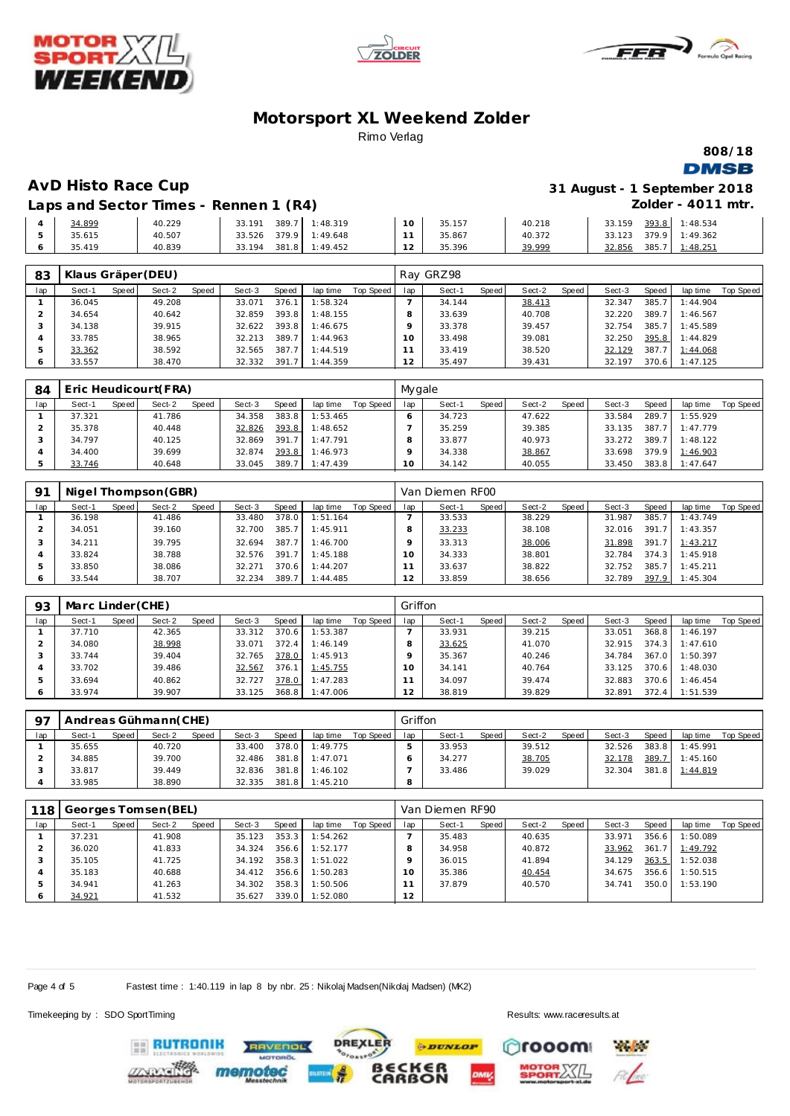





**808/18 DMSB** 

**AvD Histo Race Cup 31 August - 1 September 2018 Zolder - 4011 mtr.**

**Laps and Sector Times - Rennen 1 (R4)**

| 34.899 | 40.229 | 389.<br>33.191  | : 48.319 | $\sim$<br>. . | 35.157 | 40.218 | 33.159 | 393.8 | : 48.534 |
|--------|--------|-----------------|----------|---------------|--------|--------|--------|-------|----------|
| 35.615 | 40.507 | 379.9<br>33.526 | : 49.648 |               | 35.867 | 40.372 | 33.123 | 379.9 | : 49.362 |
| 35.419 | 40.839 | 381.8<br>33.194 | : 49.452 | $\sim$<br>∼   | 35.396 | 39.999 | 32.856 | 385.  | : 48.251 |

| 83  | Klaus Gräper (DEU) |       |        |       |        |       |          |           |     | Ray GRZ98 |       |        |       |        |       |          |           |
|-----|--------------------|-------|--------|-------|--------|-------|----------|-----------|-----|-----------|-------|--------|-------|--------|-------|----------|-----------|
| lap | Sect-1             | Speed | Sect-2 | Speed | Sect-3 | Speed | lap time | Top Speed | lap | Sect-1    | Speed | Sect-2 | Speed | Sect-3 | Speed | lap time | Top Speed |
|     | 36.045             |       | 49.208 |       | 33.071 | 376.1 | 1:58.324 |           |     | 34.144    |       | 38.413 |       | 32.347 | 385.7 | 1:44.904 |           |
|     | 34.654             |       | 40.642 |       | 32.859 | 393.8 | 1:48.155 |           |     | 33.639    |       | 40.708 |       | 32.220 | 389.7 | 1:46.567 |           |
|     | 34.138             |       | 39.915 |       | 32.622 | 393.8 | 1:46.675 |           |     | 33.378    |       | 39.457 |       | 32.754 | 385.7 | 1:45.589 |           |
|     | 33.785             |       | 38.965 |       | 32.213 | 389.7 | 1:44.963 |           | 10  | 33.498    |       | 39.081 |       | 32.250 | 395.8 | 1:44.829 |           |
|     | 33.362             |       | 38.592 |       | 32.565 | 387.7 | 1:44.519 |           |     | 33.419    |       | 38.520 |       | 32.129 | 387.7 | 1:44.068 |           |
|     | 33.557             |       | 38.470 |       | 32.332 | 391.7 | 1:44.359 |           | 12  | 35.497    |       | 39.431 |       | 32.197 | 370.6 | 1:47.125 |           |

| 84  | Eric Heudicourt(FRA) |       |        |       |        |       |          |           |     | Mygale |              |        |       |        |       |          |                  |  |  |
|-----|----------------------|-------|--------|-------|--------|-------|----------|-----------|-----|--------|--------------|--------|-------|--------|-------|----------|------------------|--|--|
| lap | Sect-1               | Speed | Sect-2 | Speed | Sect-3 | Speed | lap time | Top Speed | lap | Sect-1 | <b>Speed</b> | Sect-2 | Speed | Sect-3 | Speed | lap time | <b>Top Speed</b> |  |  |
|     | 37.321               |       | 41.786 |       | 34.358 | 383.8 | 1:53.465 |           |     | 34.723 |              | 47.622 |       | 33.584 | 289.7 | 1:55.929 |                  |  |  |
|     | 35.378               |       | 40.448 |       | 32.826 | 393.8 | 1:48.652 |           |     | 35.259 |              | 39.385 |       | 33.135 | 387.7 | 1:47.779 |                  |  |  |
|     | 34.797               |       | 40.125 |       | 32.869 | 391.7 | 1:47.791 |           |     | 33.877 |              | 40.973 |       | 33.272 | 389.7 | 1:48.122 |                  |  |  |
|     | 34.400               |       | 39.699 |       | 32.874 | 393.8 | 1:46.973 |           |     | 34.338 |              | 38.867 |       | 33.698 | 379.9 | 1:46.903 |                  |  |  |
|     | 33.746               |       | 40.648 |       | 33.045 | 389.7 | 1:47.439 |           | O   | 34.142 |              | 40.055 |       | 33.450 | 383.8 | 1:47.647 |                  |  |  |

| -91 | Nigel Thompson (GBR) |       |        |       |        |       |          |           |     | Van Diemen RF00 |       |        |       |        |       |          |           |  |  |
|-----|----------------------|-------|--------|-------|--------|-------|----------|-----------|-----|-----------------|-------|--------|-------|--------|-------|----------|-----------|--|--|
| lap | Sect-1               | Speed | Sect-2 | Speed | Sect-3 | Speed | lap time | Top Speed | lap | Sect-1          | Speed | Sect-2 | Speed | Sect-3 | Speed | lap time | Top Speed |  |  |
|     | 36.198               |       | 41.486 |       | 33.480 | 378.0 | 1:51.164 |           |     | 33.533          |       | 38.229 |       | 31.987 | 385.7 | 1:43.749 |           |  |  |
|     | 34.051               |       | 39.160 |       | 32.700 | 385.7 | 1:45.911 |           |     | 33.233          |       | 38.108 |       | 32.016 | 391.7 | 1:43.357 |           |  |  |
|     | 34.211               |       | 39.795 |       | 32.694 | 387.7 | 1:46.700 |           |     | 33.313          |       | 38.006 |       | 31.898 | 391.7 | 1:43.217 |           |  |  |
|     | 33.824               |       | 38.788 |       | 32.576 | 391.7 | 1:45.188 |           |     | 34.333          |       | 38.801 |       | 32.784 | 374.3 | 1:45.918 |           |  |  |
| 5   | 33.850               |       | 38.086 |       | 32.271 | 370.6 | 1:44.207 |           |     | 33.637          |       | 38.822 |       | 32.752 | 385.7 | 1:45.211 |           |  |  |
|     | 33.544               |       | 38.707 |       | 32.234 | 389.7 | 1:44.485 |           | 2   | 33.859          |       | 38.656 |       | 32.789 | 397.9 | 1:45.304 |           |  |  |

| 93  | Marc Linder (CHE) |       |        |       |        |       |          |           |     | Griffon |       |        |       |        |       |          |           |  |  |
|-----|-------------------|-------|--------|-------|--------|-------|----------|-----------|-----|---------|-------|--------|-------|--------|-------|----------|-----------|--|--|
| lap | Sect-1            | Speed | Sect-2 | Speed | Sect-3 | Speed | lap time | Top Speed | lap | Sect-1  | Speed | Sect-2 | Speed | Sect-3 | Speed | lap time | Top Speed |  |  |
|     | 37.710            |       | 42.365 |       | 33.312 | 370.6 | 1:53.387 |           |     | 33.931  |       | 39.215 |       | 33.051 | 368.8 | 1:46.197 |           |  |  |
|     | 34.080            |       | 38.998 |       | 33.071 | 372.4 | 1:46.149 |           |     | 33.625  |       | 41.070 |       | 32.915 | 374.3 | 1:47.610 |           |  |  |
|     | 33.744            |       | 39.404 |       | 32.765 | 378.0 | 1:45.913 |           |     | 35.367  |       | 40.246 |       | 34.784 | 367.0 | 1:50.397 |           |  |  |
|     | 33.702            |       | 39.486 |       | 32.567 | 376.1 | 1:45.755 |           | 0   | 34.141  |       | 40.764 |       | 33.125 | 370.6 | 1:48.030 |           |  |  |
|     | 33.694            |       | 40.862 |       | 32.727 | 378.0 | 1:47.283 |           |     | 34.097  |       | 39.474 |       | 32.883 | 370.6 | 1:46.454 |           |  |  |
| O   | 33.974            |       | 39.907 |       | 33.125 | 368.8 | 1:47.006 |           |     | 38.819  |       | 39.829 |       | 32.891 | 372.4 | 1:51.539 |           |  |  |

| Q <sub>7</sub> | Andreas Gühmann (CHE) |       |        |              |        |       |          |           |     | Griffon |       |        |       |        |       |          |           |  |  |  |
|----------------|-----------------------|-------|--------|--------------|--------|-------|----------|-----------|-----|---------|-------|--------|-------|--------|-------|----------|-----------|--|--|--|
| lap            | Sect-1                | Speed | Sect-2 | <b>Speed</b> | Sect-3 | Speed | lap time | Top Speed | lap | Sect-1  | Speed | Sect-2 | Speed | Sect-3 | Speed | lap time | Top Speed |  |  |  |
|                | 35.655                |       | 40.720 |              | 33.400 | 378.0 | 1:49.775 |           |     | 33.953  |       | 39.512 |       | 32.526 | 383.8 | 1:45.991 |           |  |  |  |
|                | 34.885                |       | 39.700 |              | 32.486 | 381.8 | 1:47.071 |           |     | 34.277  |       | 38.705 |       | 32.178 | 389.7 | 1:45.160 |           |  |  |  |
|                | 33.817                |       | 39.449 |              | 32.836 | 381.8 | 1:46.102 |           |     | 33.486  |       | 39.029 |       | 32.304 | 381.8 | 1:44.819 |           |  |  |  |
|                | 33.985                |       | 38.890 |              | 32.335 | 381.8 | 1:45.210 |           | 8   |         |       |        |       |        |       |          |           |  |  |  |

| 118 | Georges Tomsen (BEL) |       |        |       |        |       |          |           |     | Van Diemen RF90 |       |        |       |        |       |          |           |  |  |
|-----|----------------------|-------|--------|-------|--------|-------|----------|-----------|-----|-----------------|-------|--------|-------|--------|-------|----------|-----------|--|--|
| lap | Sect-1               | Speed | Sect-2 | Speed | Sect-3 | Speed | lap time | Top Speed | lap | Sect-1          | Speed | Sect-2 | Speed | Sect-3 | Speed | lap time | Top Speed |  |  |
|     | 37.231               |       | 41.908 |       | 35.123 | 353.3 | 1:54.262 |           |     | 35.483          |       | 40.635 |       | 33.971 | 356.6 | 1:50.089 |           |  |  |
|     | 36.020               |       | 41.833 |       | 34.324 | 356.6 | 1:52.177 |           |     | 34.958          |       | 40.872 |       | 33.962 | 361.7 | 1:49.792 |           |  |  |
|     | 35.105               |       | 41.725 |       | 34.192 | 358.3 | 1:51.022 |           |     | 36.015          |       | 41.894 |       | 34.129 | 363.5 | 1:52.038 |           |  |  |
|     | 35.183               |       | 40.688 |       | 34.412 | 356.6 | 1:50.283 |           | 10  | 35.386          |       | 40.454 |       | 34.675 | 356.6 | 1:50.515 |           |  |  |
|     | 34.941               |       | 41.263 |       | 34.302 | 358.3 | 1:50.506 |           |     | 37.879          |       | 40.570 |       | 34.741 | 350.0 | 1:53.190 |           |  |  |
|     | 34.921               |       | 41.532 |       | 35.627 | 339.0 | 1:52.080 |           | 12  |                 |       |        |       |        |       |          |           |  |  |

Page 4 of 5 Fastest time : 1:40.119 in lap 8 by nbr. 25 : Nikolaj Madsen(Nikolaj Madsen) (MK2)

Timekeeping by : SDO SportTiming Results:<www.raceresults.at>





**DREXLER** 

**Playfords** rooom